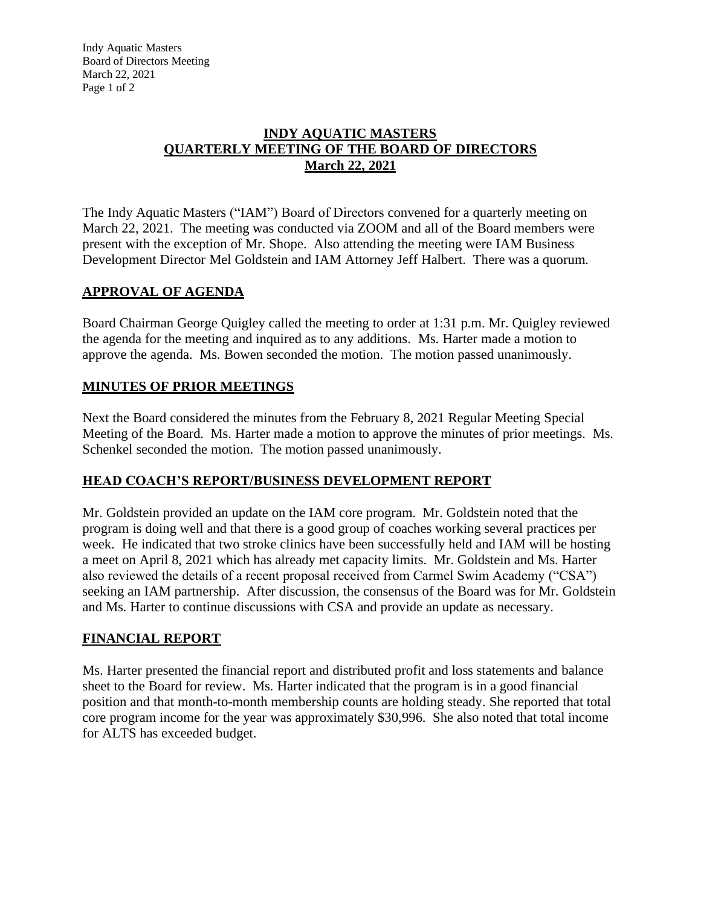Indy Aquatic Masters Board of Directors Meeting March 22, 2021 Page 1 of 2

### **INDY AQUATIC MASTERS QUARTERLY MEETING OF THE BOARD OF DIRECTORS March 22, 2021**

The Indy Aquatic Masters ("IAM") Board of Directors convened for a quarterly meeting on March 22, 2021. The meeting was conducted via ZOOM and all of the Board members were present with the exception of Mr. Shope. Also attending the meeting were IAM Business Development Director Mel Goldstein and IAM Attorney Jeff Halbert. There was a quorum.

# **APPROVAL OF AGENDA**

Board Chairman George Quigley called the meeting to order at 1:31 p.m. Mr. Quigley reviewed the agenda for the meeting and inquired as to any additions. Ms. Harter made a motion to approve the agenda. Ms. Bowen seconded the motion. The motion passed unanimously.

# **MINUTES OF PRIOR MEETINGS**

Next the Board considered the minutes from the February 8, 2021 Regular Meeting Special Meeting of the Board. Ms. Harter made a motion to approve the minutes of prior meetings. Ms. Schenkel seconded the motion. The motion passed unanimously.

# **HEAD COACH'S REPORT/BUSINESS DEVELOPMENT REPORT**

Mr. Goldstein provided an update on the IAM core program. Mr. Goldstein noted that the program is doing well and that there is a good group of coaches working several practices per week. He indicated that two stroke clinics have been successfully held and IAM will be hosting a meet on April 8, 2021 which has already met capacity limits. Mr. Goldstein and Ms. Harter also reviewed the details of a recent proposal received from Carmel Swim Academy ("CSA") seeking an IAM partnership. After discussion, the consensus of the Board was for Mr. Goldstein and Ms. Harter to continue discussions with CSA and provide an update as necessary.

# **FINANCIAL REPORT**

Ms. Harter presented the financial report and distributed profit and loss statements and balance sheet to the Board for review. Ms. Harter indicated that the program is in a good financial position and that month-to-month membership counts are holding steady. She reported that total core program income for the year was approximately \$30,996. She also noted that total income for ALTS has exceeded budget.